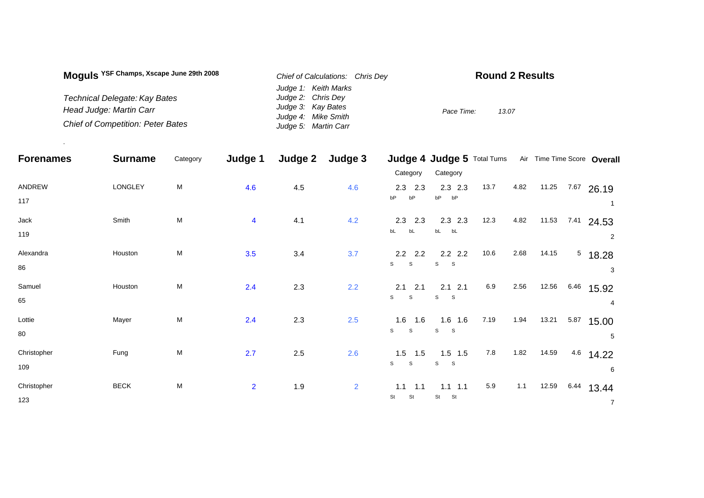| Moguls <sup>YSF Champs, Xscape June 29th 2008</sup> | Chief of Calculations: Chris Dey | <b>Round 2 Results</b> |
|-----------------------------------------------------|----------------------------------|------------------------|
|                                                     | Judge 1: Keith Marks             |                        |
| Technical Delegate: Kay Bates                       | Judge 2: Chris Dev               |                        |
| Head Judge: Martin Carr                             | Judge 3: Kay Bates               | 13.07<br>Pace Time:    |
|                                                     | Judge 4: Mike Smith              |                        |
| <b>Chief of Competition: Peter Bates</b>            | Judge 5: Martin Carr             |                        |

.

| <b>Forenames</b> | <b>Surname</b> | Category | Judge 1                 | Judge 2 | Judge 3        |                              | Judge 4 Judge 5 Total Turns |       |      |       |      | Air Time Time Score Overall |
|------------------|----------------|----------|-------------------------|---------|----------------|------------------------------|-----------------------------|-------|------|-------|------|-----------------------------|
|                  |                |          |                         |         |                | Category                     | Category                    |       |      |       |      |                             |
| ANDREW           | LONGLEY        | M        | 4.6                     | 4.5     | 4.6            | $2.3$ 2.3                    | $2.3$ $2.3$                 | 13.7  | 4.82 | 11.25 |      | $7.67$ 26.19                |
| 117              |                |          |                         |         |                | bP<br>bP                     | bP<br>bP                    |       |      |       |      | $\mathbf{1}$                |
| Jack             | Smith          | M        | $\overline{\mathbf{4}}$ | 4.1     | 4.2            | 2.3 2.3                      | $2.3$ $2.3$                 | 12.3  | 4.82 | 11.53 | 7.41 | 24.53                       |
| 119              |                |          |                         |         |                | bL<br>bL                     | bL<br>bL                    |       |      |       |      | $\overline{2}$              |
| Alexandra        | Houston        | M        | 3.5                     | $3.4$   | 3.7            | $2.2$ 2.2                    | $2.2$ 2.2                   | 10.6  | 2.68 | 14.15 |      | $5$ 18.28                   |
| 86               |                |          |                         |         |                | $\mathsf{s}$<br>S            | S<br>$\mathbf S$            |       |      |       |      | 3                           |
| Samuel           | Houston        | M        | 2.4                     | 2.3     | 2.2            | $2.1$ 2.1                    | $2.1$ 2.1                   | 6.9   | 2.56 | 12.56 |      | 6.46 15.92                  |
| 65               |                |          |                         |         |                | $\mathbb S$<br>S             | S<br>$\mathbf S$            |       |      |       |      | $\overline{4}$              |
| Lottie           | Mayer          | M        | 2.4                     | 2.3     | 2.5            | $1.6$ 1.6                    | $1.6$ 1.6                   | 7.19  | 1.94 | 13.21 |      | 5.87 15.00                  |
| 80               |                |          |                         |         |                | $\mathbf{s}$<br>$\mathsf{s}$ | S<br>$\mathbf S$            |       |      |       |      | 5                           |
| Christopher      | Fung           | M        | 2.7                     | $2.5\,$ | 2.6            | $1.5$ 1.5                    | $1.5$ 1.5                   | $7.8$ | 1.82 | 14.59 | 4.6  | 14.22                       |
| 109              |                |          |                         |         |                | $\mathbf{s}$<br>S            | S<br>$\mathbf{s}$           |       |      |       |      | 6                           |
| Christopher      | <b>BECK</b>    | M        | $\overline{2}$          | 1.9     | $\overline{2}$ | $1.1$<br>1.1                 | $1.1$ 1.1                   | 5.9   | 1.1  | 12.59 | 6.44 | 13.44                       |
| 123              |                |          |                         |         |                | St<br>St                     | St<br>St                    |       |      |       |      | $\overline{7}$              |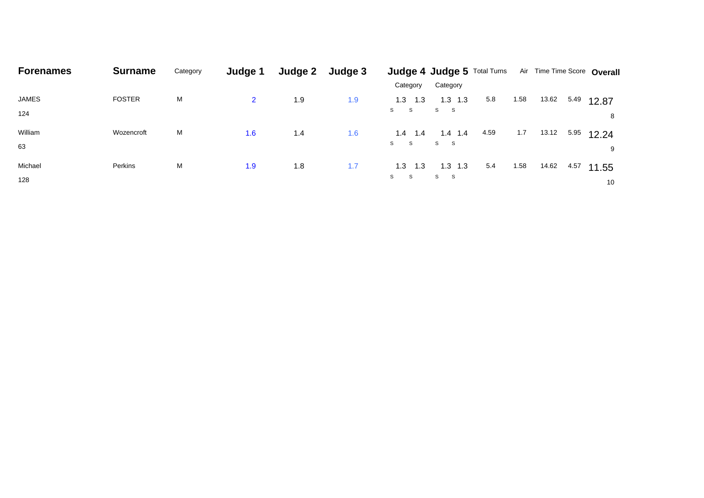| <b>Forenames</b> | <b>Surname</b> | Category | Judge 1        | <b>Judge 2</b> | Judge 3 |             | <b>Judge 4 Judge 5 Total Turns</b> |      |      |       |      | Air Time Time Score Overall |
|------------------|----------------|----------|----------------|----------------|---------|-------------|------------------------------------|------|------|-------|------|-----------------------------|
|                  |                |          |                |                |         | Category    | Category                           |      |      |       |      |                             |
| JAMES            | <b>FOSTER</b>  | M        | $\overline{2}$ | 1.9            | 1.9     | $1.3$ $1.3$ | $1.3$ 1.3                          | 5.8  | 1.58 | 13.62 | 5.49 | 12.87                       |
| 124              |                |          |                |                |         | S S         | S S                                |      |      |       |      | 8                           |
| William          | Wozencroft     | M        | 1.6            | 1.4            | 1.6     | 1.4<br>1.4  | $1.4$ 1.4                          | 4.59 | 1.7  | 13.12 | 5.95 | 12.24                       |
| 63               |                |          |                |                |         | S S         | S S                                |      |      |       |      |                             |
| Michael          | Perkins        | M        | 1.9            | 1.8            | 1.7     | $1.3$ 1.3   | $1.3$ $1.3$                        | 5.4  | 1.58 | 14.62 | 4.57 | 11.55                       |
| 128              |                |          |                |                |         | S<br>S.     | S S                                |      |      |       |      | 10                          |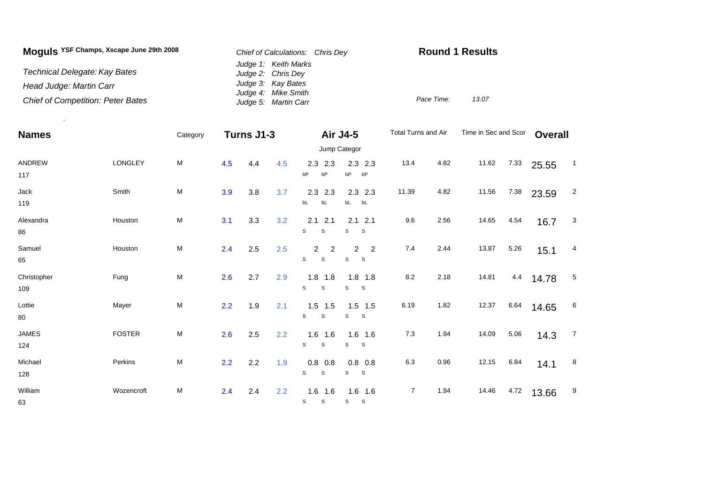| Moguls YSF Champs, Xscape June 29th 2008 | Chief of Calculations: Chris Dev           | <b>Round 1 Results</b> |       |  |  |  |
|------------------------------------------|--------------------------------------------|------------------------|-------|--|--|--|
| Technical Delegate: Kay Bates            | Judge 1: Keith Marks<br>Judge 2: Chris Dev |                        |       |  |  |  |
| Head Judge: Martin Carr                  | Judge 3: Kay Bates<br>Judge 4: Mike Smith  |                        |       |  |  |  |
| <b>Chief of Competition: Peter Bates</b> | Judge 5: Martin Carr                       | Pace Time:             | 13.07 |  |  |  |

.

| <b>Names</b>        |               | Category  | Turns J1-3 |     |     |                                                   | Air J4-5                                   | Total Turns and Air |      | Time in Sec and Scor |      | <b>Overall</b> |                |
|---------------------|---------------|-----------|------------|-----|-----|---------------------------------------------------|--------------------------------------------|---------------------|------|----------------------|------|----------------|----------------|
|                     |               |           |            |     |     |                                                   |                                            |                     |      |                      |      |                |                |
| ANDREW<br>117       | LONGLEY       | M         | 4.5        | 4.4 | 4.5 | 2.3<br>2.3<br>bP<br>bP                            | $2.3$ 2.3<br>bP<br>bP                      | 13.4                | 4.82 | 11.62                | 7.33 | 25.55          | $\overline{1}$ |
| Jack<br>119         | Smith         | ${\sf M}$ | 3.9        | 3.8 | 3.7 | 2.3<br>2.3<br>bL<br>bL                            | $2.3$ 2.3<br>bL bL                         | 11.39               | 4.82 | 11.56                | 7.38 | 23.59          | $\overline{2}$ |
| Alexandra<br>86     | Houston       | M         | 3.1        | 3.3 | 3.2 | 2.1<br>2.1<br>S<br>S                              | $2.1$ $2.1$<br>S<br>-S                     | 9.6                 | 2.56 | 14.65                | 4.54 | 16.7           | $\mathbf{3}$   |
| Samuel<br>65        | Houston       | M         | 2.4        | 2.5 | 2.5 | $2^{\circ}$<br>$\overline{2}$<br>$\mathsf S$<br>S | $\overline{2}$<br>$\overline{2}$<br>S<br>S | 7.4                 | 2.44 | 13.87                | 5.26 | 15.1           | 4              |
| Christopher<br>109  | Fung          | ${\sf M}$ | 2.6        | 2.7 | 2.9 | $1.8$ 1.8<br>S<br>S                               | $1.8$ 1.8<br>S<br><sub>S</sub>             | 8.2                 | 2.18 | 14.81                | 4.4  | 14.78          | $\sqrt{5}$     |
| Lottie<br>80        | Mayer         | ${\sf M}$ | 2.2        | 1.9 | 2.1 | $1.5$ 1.5<br>S<br>$\mathbb S$                     | $1.5$ 1.5<br>S<br>S                        | 6.19                | 1.82 | 12.37                | 6.64 | 14.65          | 6              |
| <b>JAMES</b><br>124 | <b>FOSTER</b> | ${\sf M}$ | 2.6        | 2.5 | 2.2 | $1.6$ 1.6<br>S<br>$\mathsf S$                     | $1.6$ 1.6<br>S<br>$\mathbf{s}$             | $7.3$               | 1.94 | 14.09                | 5.06 | 14.3           | $\overline{7}$ |
| Michael<br>128      | Perkins       | M         | 2.2        | 2.2 | 1.9 | 0.8<br>0.8<br>S<br>$\mathbb S$                    | $0.8\ 0.8$<br>S<br>S                       | 6.3                 | 0.96 | 12.15                | 6.84 | 14.1           | 8              |
| William<br>63       | Wozencroft    | ${\sf M}$ | 2.4        | 2.4 | 2.2 | $1.6$ 1.6<br>S<br>S                               | $1.6$ 1.6<br>S<br>$\mathsf S$              | $\overline{7}$      | 1.94 | 14.46                | 4.72 | 13.66          | 9              |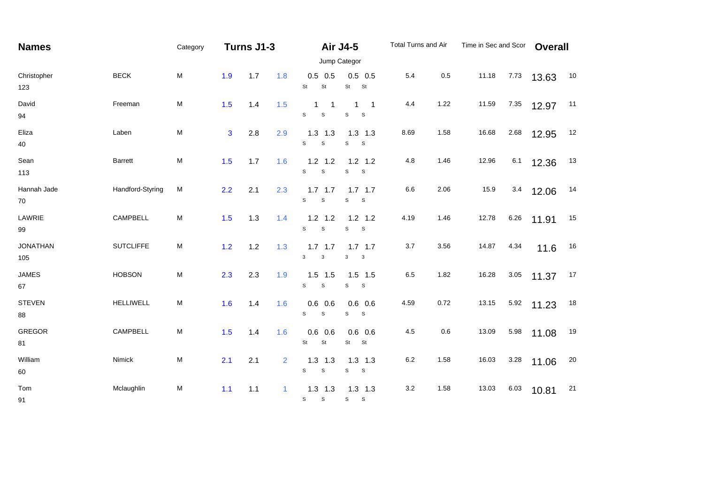| <b>Names</b>           |                  | Category                                                                                                   |              | Turns J1-3 |                |                                                    | <b>Air J4-5</b>                                                | Total Turns and Air |      | Time in Sec and Scor |        | <b>Overall</b> |    |
|------------------------|------------------|------------------------------------------------------------------------------------------------------------|--------------|------------|----------------|----------------------------------------------------|----------------------------------------------------------------|---------------------|------|----------------------|--------|----------------|----|
| Christopher<br>123     |                  |                                                                                                            |              |            |                |                                                    | Jump Categor                                                   |                     |      |                      |        |                |    |
|                        | <b>BECK</b>      | M                                                                                                          | 1.9          | 1.7        | 1.8            | $0.5$ 0.5<br>St<br>St                              | $0.5$ 0.5<br>St<br>St                                          | 5.4                 | 0.5  | 11.18                | 7.73   | 13.63          | 10 |
| David<br>94            | Freeman          | M                                                                                                          | 1.5          | 1.4        | 1.5            | $\mathbf 1$<br>$\overline{1}$<br>$\mathsf{s}$<br>S | $\mathbf{1}$<br>$\overline{1}$<br>$\mathsf{s}$<br><sub>S</sub> | 4.4                 | 1.22 | 11.59                | 7.35   | 12.97          | 11 |
| Eliza<br>40            | Laben            | $\mathsf{M}% _{T}=\mathsf{M}_{T}\!\left( a,b\right) ,\ \mathsf{M}_{T}=\mathsf{M}_{T}\!\left( a,b\right) ,$ | $\mathbf{3}$ | 2.8        | 2.9            | $1.3$ 1.3<br>s<br>$\mathsf{s}$                     | $1.3$ 1.3<br>S<br>S                                            | 8.69                | 1.58 | 16.68                | 2.68   | 12.95          | 12 |
| Sean<br>113            | Barrett          | ${\sf M}$                                                                                                  | 1.5          | 1.7        | 1.6            | $1.2$ 1.2<br>$\mathsf{s}$<br>$\mathbb S$           | $1.2$ 1.2<br>S<br>$\mathsf S$                                  | 4.8                 | 1.46 | 12.96                | 6.1    | 12.36          | 13 |
| Hannah Jade<br>70      | Handford-Styring | M                                                                                                          | 2.2          | 2.1        | 2.3            | $1.7$ 1.7<br>S<br>$\mathbb S$                      | $1.7$ 1.7<br>S<br>S                                            | 6.6                 | 2.06 | 15.9                 | 3.4    | 12.06          | 14 |
| LAWRIE<br>99           | CAMPBELL         | M                                                                                                          | 1.5          | 1.3        | 1.4            | $1.2$ 1.2<br>S<br>$\mathsf S$                      | $1.2$ 1.2<br>S<br>S                                            | 4.19                | 1.46 | 12.78                | 6.26   | 11.91          | 15 |
| <b>JONATHAN</b><br>105 | <b>SUTCLIFFE</b> | M                                                                                                          | 1.2          | $1.2$      | 1.3            | $1.7$ 1.7<br>3<br>$\ensuremath{\mathsf{3}}$        | $1.7$ 1.7<br>$\mathbf{3}$<br>$\mathbf{3}$                      | 3.7                 | 3.56 | 14.87                | 4.34   | 11.6           | 16 |
| <b>JAMES</b><br>67     | <b>HOBSON</b>    | ${\sf M}$                                                                                                  | 2.3          | 2.3        | 1.9            | $1.5$ 1.5<br>S<br>$\mathbb S$                      | $1.5$ 1.5<br>S<br>$\mathsf S$                                  | 6.5                 | 1.82 | 16.28                | $3.05$ | 11.37          | 17 |
| <b>STEVEN</b><br>88    | <b>HELLIWELL</b> | M                                                                                                          | 1.6          | 1.4        | 1.6            | $0.6$ 0.6<br>s<br>$\mathbb S$                      | $0.6$ 0.6<br>s<br>$\mathbf{s}$                                 | 4.59                | 0.72 | 13.15                | 5.92   | 11.23          | 18 |
| <b>GREGOR</b><br>81    | CAMPBELL         | ${\sf M}$                                                                                                  | 1.5          | 1.4        | 1.6            | $0.6$ 0.6<br>St<br>St                              | $0.6$ 0.6<br>St <sub>s</sub><br>St                             | 4.5                 | 0.6  | 13.09                | 5.98   | 11.08          | 19 |
| William<br>60          | Nimick           | ${\sf M}$                                                                                                  | 2.1          | 2.1        | $\overline{2}$ | $1.3$ 1.3<br>s<br>$\mathsf{s}$                     | $1.3$ $1.3$<br>s<br>S                                          | 6.2                 | 1.58 | 16.03                | 3.28   | 11.06          | 20 |
| Tom<br>91              | Mclaughlin       | ${\sf M}$                                                                                                  | 1.1          | 1.1        | 1              | $1.3$ 1.3<br>${\tt S}$<br>$\mathsf{s}$             | $1.3$ $1.3$<br>S<br>$\mathbf{s}$                               | 3.2                 | 1.58 | 13.03                | 6.03   | 10.81          | 21 |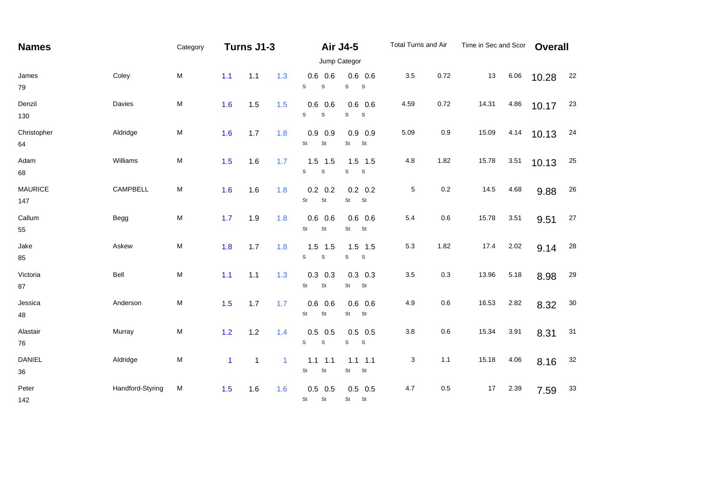| <b>Names</b>          |                  | Category  | Turns J1-3   |              |              |                                         | <b>Air J4-5</b><br>Jump Categor          | Total Turns and Air |         | Time in Sec and Scor |      | <b>Overall</b> |        |
|-----------------------|------------------|-----------|--------------|--------------|--------------|-----------------------------------------|------------------------------------------|---------------------|---------|----------------------|------|----------------|--------|
| James<br>79           | Coley            | M         | 1.1          | 1.1          | 1.3          | $0.6$ 0.6<br>S<br>$\mathbb S$           | $0.6$ 0.6<br>$\mathbb S$<br>$\mathsf S$  | 3.5                 | 0.72    | 13                   | 6.06 | 10.28          | 22     |
| Denzil<br>130         | Davies           | M         | 1.6          | 1.5          | 1.5          | $0.6$ 0.6<br>S<br>$\mathbb S$           | $0.6$ 0.6<br>S<br>S                      | 4.59                | 0.72    | 14.31                | 4.86 | 10.17          | 23     |
| Christopher<br>64     | Aldridge         | ${\sf M}$ | 1.6          | 1.7          | 1.8          | $0.9$ 0.9<br>St<br>St                   | $0.9$ 0.9<br>St<br>St                    | 5.09                | 0.9     | 15.09                | 4.14 | 10.13          | 24     |
| Adam<br>68            | Williams         | ${\sf M}$ | 1.5          | 1.6          | 1.7          | $1.5$ 1.5<br>s<br>$\mathbb S$           | $1.5$ 1.5<br>S<br>S                      | 4.8                 | 1.82    | 15.78                | 3.51 | 10.13          | 25     |
| <b>MAURICE</b><br>147 | CAMPBELL         | ${\sf M}$ | 1.6          | 1.6          | 1.8          | $0.2$ 0.2<br>St<br>St                   | $0.2$ 0.2<br>St<br>St                    | 5                   | $0.2\,$ | 14.5                 | 4.68 | 9.88           | 26     |
| Callum<br>55          | Begg             | ${\sf M}$ | 1.7          | 1.9          | 1.8          | $0.6$ 0.6<br>St<br>St                   | $0.6$ 0.6<br>St<br><b>St</b>             | 5.4                 | 0.6     | 15.78                | 3.51 | 9.51           | 27     |
| Jake<br>85            | Askew            | ${\sf M}$ | 1.8          | 1.7          | 1.8          | $1.5$ 1.5<br>S<br>$\mathbb S$           | $1.5$ 1.5<br>S<br>$\mathsf{s}$           | 5.3                 | 1.82    | 17.4                 | 2.02 | 9.14           | 28     |
| Victoria<br>87        | Bell             | M         | 1.1          | $1.1$        | 1.3          | $0.3$ 0.3<br>St<br>$\mathsf{St}$        | $0.3$ 0.3<br>St<br><b>St</b>             | 3.5                 | 0.3     | 13.96                | 5.18 | 8.98           | 29     |
| Jessica<br>48         | Anderson         | M         | 1.5          | 1.7          | 1.7          | $0.6$ 0.6<br>St<br>$\mathsf{St}$        | $0.6$ 0.6<br>St<br><b>St</b>             | 4.9                 | 0.6     | 16.53                | 2.82 | 8.32           | $30\,$ |
| Alastair<br>76        | Murray           | M         | 1.2          | 1.2          | 1.4          | $0.5$ 0.5<br>$\mathbf S$<br>$\mathbf S$ | $0.5$ 0.5<br>$\mathbb S$<br>$\mathbf{s}$ | 3.8                 | 0.6     | 15.34                | 3.91 | 8.31           | 31     |
| <b>DANIEL</b><br>36   | Aldridge         | M         | $\mathbf{1}$ | $\mathbf{1}$ | $\mathbf{1}$ | $1.1$ 1.1<br>St<br>$\mathsf{St}$        | $1.1 \quad 1.1$<br>St<br>St              | 3                   | 1.1     | 15.18                | 4.06 | 8.16           | 32     |
| Peter<br>142          | Handford-Styring | M         | 1.5          | 1.6          | 1.6          | $0.5$ 0.5<br>St<br>St                   | $0.5$ 0.5<br>St St                       | 4.7                 | 0.5     | 17                   | 2.39 | 7.59           | 33     |